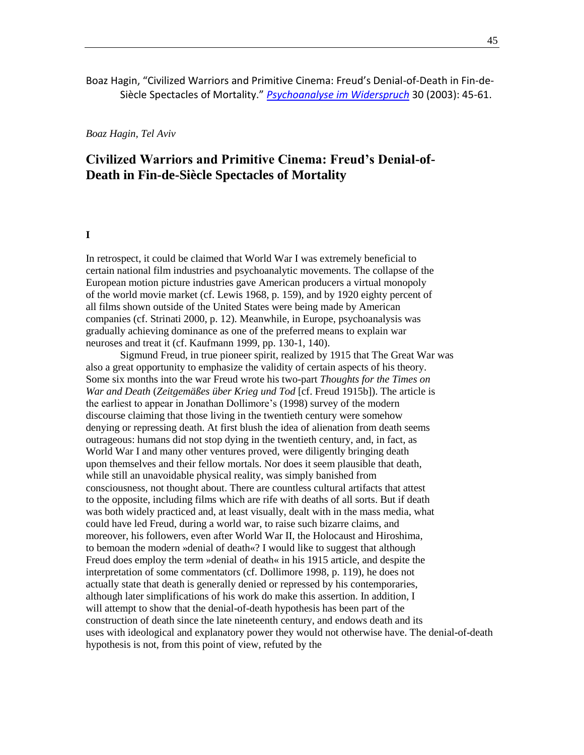## Boaz Hagin, "Civilized Warriors and Primitive Cinema: Freud's Denial-of-Death in Fin-de-Siècle Spectacles of Mortality." *[Psychoanalyse im Widerspruch](http://www.ipp-heidelberg.de/widerspruch/w30.htm)* 30 (2003): 45-61.

*Boaz Hagin, Tel Aviv*

# **Civilized Warriors and Primitive Cinema: Freud's Denial-of-Death in Fin-de-Siècle Spectacles of Mortality**

#### **I**

In retrospect, it could be claimed that World War I was extremely beneficial to certain national film industries and psychoanalytic movements. The collapse of the European motion picture industries gave American producers a virtual monopoly of the world movie market (cf. Lewis 1968, p. 159), and by 1920 eighty percent of all films shown outside of the United States were being made by American companies (cf. Strinati 2000, p. 12). Meanwhile, in Europe, psychoanalysis was gradually achieving dominance as one of the preferred means to explain war neuroses and treat it (cf. Kaufmann 1999, pp. 130-1, 140).

Sigmund Freud, in true pioneer spirit, realized by 1915 that The Great War was also a great opportunity to emphasize the validity of certain aspects of his theory. Some six months into the war Freud wrote his two-part *Thoughts for the Times on War and Death* (*Zeitgemäßes über Krieg und Tod* [cf. Freud 1915b]). The article is the earliest to appear in Jonathan Dollimore's (1998) survey of the modern discourse claiming that those living in the twentieth century were somehow denying or repressing death. At first blush the idea of alienation from death seems outrageous: humans did not stop dying in the twentieth century, and, in fact, as World War I and many other ventures proved, were diligently bringing death upon themselves and their fellow mortals. Nor does it seem plausible that death, while still an unavoidable physical reality, was simply banished from consciousness, not thought about. There are countless cultural artifacts that attest to the opposite, including films which are rife with deaths of all sorts. But if death was both widely practiced and, at least visually, dealt with in the mass media, what could have led Freud, during a world war, to raise such bizarre claims, and moreover, his followers, even after World War II, the Holocaust and Hiroshima, to bemoan the modern »denial of death«? I would like to suggest that although Freud does employ the term »denial of death« in his 1915 article, and despite the interpretation of some commentators (cf. Dollimore 1998, p. 119), he does not actually state that death is generally denied or repressed by his contemporaries, although later simplifications of his work do make this assertion. In addition, I will attempt to show that the denial-of-death hypothesis has been part of the construction of death since the late nineteenth century, and endows death and its uses with ideological and explanatory power they would not otherwise have. The denial-of-death hypothesis is not, from this point of view, refuted by the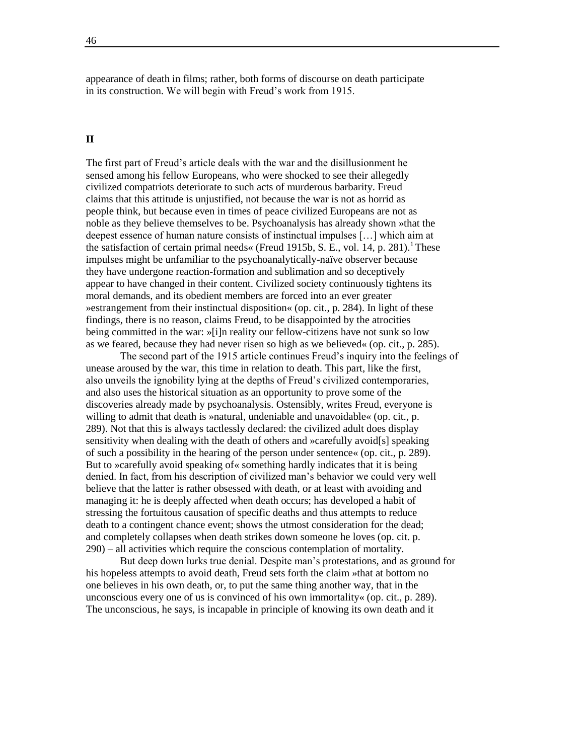appearance of death in films; rather, both forms of discourse on death participate in its construction. We will begin with Freud's work from 1915.

## **II**

The first part of Freud's article deals with the war and the disillusionment he sensed among his fellow Europeans, who were shocked to see their allegedly civilized compatriots deteriorate to such acts of murderous barbarity. Freud claims that this attitude is unjustified, not because the war is not as horrid as people think, but because even in times of peace civilized Europeans are not as noble as they believe themselves to be. Psychoanalysis has already shown »that the deepest essence of human nature consists of instinctual impulses […] which aim at the satisfaction of certain primal needs« (Freud 1915b, S. E., vol. 14, p. 281). These impulses might be unfamiliar to the psychoanalytically-naïve observer because they have undergone reaction-formation and sublimation and so deceptively appear to have changed in their content. Civilized society continuously tightens its moral demands, and its obedient members are forced into an ever greater »estrangement from their instinctual disposition« (op. cit., p. 284). In light of these findings, there is no reason, claims Freud, to be disappointed by the atrocities being committed in the war: »[i]n reality our fellow-citizens have not sunk so low as we feared, because they had never risen so high as we believed« (op. cit., p. 285).

The second part of the 1915 article continues Freud's inquiry into the feelings of unease aroused by the war, this time in relation to death. This part, like the first, also unveils the ignobility lying at the depths of Freud's civilized contemporaries, and also uses the historical situation as an opportunity to prove some of the discoveries already made by psychoanalysis. Ostensibly, writes Freud, everyone is willing to admit that death is »natural, undeniable and unavoidable« (op. cit., p. 289). Not that this is always tactlessly declared: the civilized adult does display sensitivity when dealing with the death of others and »carefully avoid[s] speaking of such a possibility in the hearing of the person under sentence« (op. cit., p. 289). But to »carefully avoid speaking of« something hardly indicates that it is being denied. In fact, from his description of civilized man's behavior we could very well believe that the latter is rather obsessed with death, or at least with avoiding and managing it: he is deeply affected when death occurs; has developed a habit of stressing the fortuitous causation of specific deaths and thus attempts to reduce death to a contingent chance event; shows the utmost consideration for the dead; and completely collapses when death strikes down someone he loves (op. cit. p. 290) – all activities which require the conscious contemplation of mortality.

But deep down lurks true denial. Despite man's protestations, and as ground for his hopeless attempts to avoid death, Freud sets forth the claim »that at bottom no one believes in his own death, or, to put the same thing another way, that in the unconscious every one of us is convinced of his own immortality« (op. cit., p. 289). The unconscious, he says, is incapable in principle of knowing its own death and it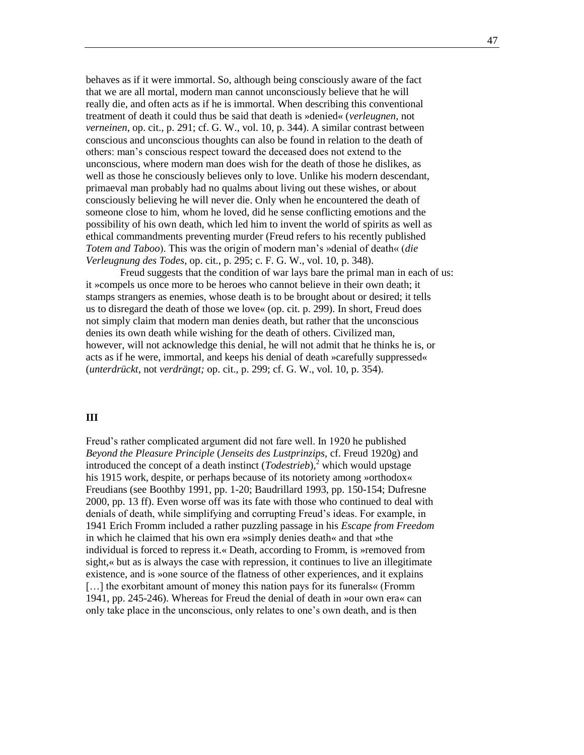behaves as if it were immortal. So, although being consciously aware of the fact that we are all mortal, modern man cannot unconsciously believe that he will really die, and often acts as if he is immortal. When describing this conventional treatment of death it could thus be said that death is »denied« (*verleugnen*, not *verneinen*, op. cit., p. 291; cf. G. W., vol. 10, p. 344). A similar contrast between conscious and unconscious thoughts can also be found in relation to the death of others: man's conscious respect toward the deceased does not extend to the unconscious, where modern man does wish for the death of those he dislikes, as well as those he consciously believes only to love. Unlike his modern descendant, primaeval man probably had no qualms about living out these wishes, or about consciously believing he will never die. Only when he encountered the death of someone close to him, whom he loved, did he sense conflicting emotions and the possibility of his own death, which led him to invent the world of spirits as well as ethical commandments preventing murder (Freud refers to his recently published *Totem and Taboo*). This was the origin of modern man's »denial of death« (*die Verleugnung des Todes*, op. cit., p. 295; c. F. G. W., vol. 10, p. 348).

Freud suggests that the condition of war lays bare the primal man in each of us: it »compels us once more to be heroes who cannot believe in their own death; it stamps strangers as enemies, whose death is to be brought about or desired; it tells us to disregard the death of those we love« (op. cit. p. 299). In short, Freud does not simply claim that modern man denies death, but rather that the unconscious denies its own death while wishing for the death of others. Civilized man, however, will not acknowledge this denial, he will not admit that he thinks he is, or acts as if he were, immortal, and keeps his denial of death »carefully suppressed« (*unterdrückt*, not *verdrängt;* op. cit., p. 299; cf. G. W., vol. 10, p. 354).

#### **III**

Freud's rather complicated argument did not fare well. In 1920 he published *Beyond the Pleasure Principle* (*Jenseits des Lustprinzips,* cf. Freud 1920g) and introduced the concept of a death instinct  $(Todestrieb)$ ,<sup>2</sup> which would upstage his 1915 work, despite, or perhaps because of its notoriety among »orthodox« Freudians (see Boothby 1991, pp. 1-20; Baudrillard 1993, pp. 150-154; Dufresne 2000, pp. 13 ff). Even worse off was its fate with those who continued to deal with denials of death, while simplifying and corrupting Freud's ideas. For example, in 1941 Erich Fromm included a rather puzzling passage in his *Escape from Freedom* in which he claimed that his own era »simply denies death« and that »the individual is forced to repress it.« Death, according to Fromm, is »removed from sight,« but as is always the case with repression, it continues to live an illegitimate existence, and is »one source of the flatness of other experiences, and it explains [...] the exorbitant amount of money this nation pays for its funerals« (Fromm 1941, pp. 245-246). Whereas for Freud the denial of death in »our own era« can only take place in the unconscious, only relates to one's own death, and is then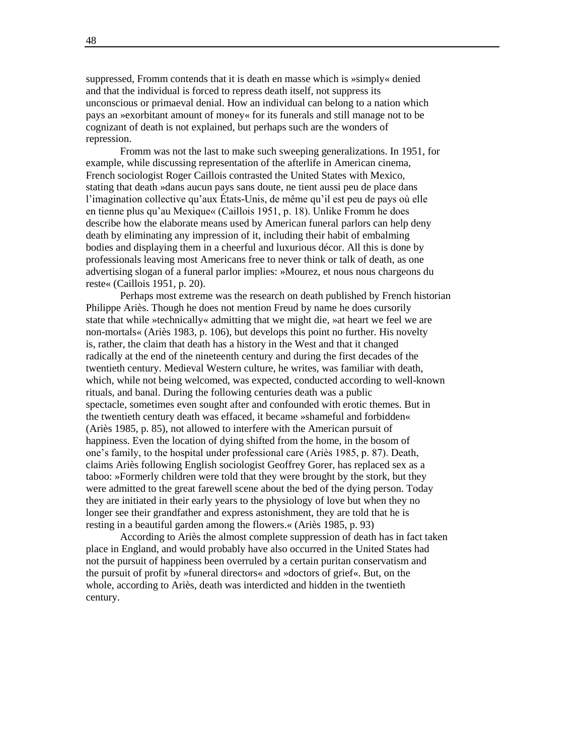suppressed, Fromm contends that it is death en masse which is »simply« denied and that the individual is forced to repress death itself, not suppress its unconscious or primaeval denial. How an individual can belong to a nation which pays an »exorbitant amount of money« for its funerals and still manage not to be cognizant of death is not explained, but perhaps such are the wonders of repression.

Fromm was not the last to make such sweeping generalizations. In 1951, for example, while discussing representation of the afterlife in American cinema, French sociologist Roger Caillois contrasted the United States with Mexico, stating that death »dans aucun pays sans doute, ne tient aussi peu de place dans l'imagination collective qu'aux États-Unis, de même qu'il est peu de pays où elle en tienne plus qu'au Mexique« (Caillois 1951, p. 18). Unlike Fromm he does describe how the elaborate means used by American funeral parlors can help deny death by eliminating any impression of it, including their habit of embalming bodies and displaying them in a cheerful and luxurious décor. All this is done by professionals leaving most Americans free to never think or talk of death, as one advertising slogan of a funeral parlor implies: »Mourez, et nous nous chargeons du reste« (Caillois 1951, p. 20).

Perhaps most extreme was the research on death published by French historian Philippe Ariès. Though he does not mention Freud by name he does cursorily state that while »technically« admitting that we might die, »at heart we feel we are non-mortals« (Ariès 1983, p. 106), but develops this point no further. His novelty is, rather, the claim that death has a history in the West and that it changed radically at the end of the nineteenth century and during the first decades of the twentieth century. Medieval Western culture, he writes, was familiar with death, which, while not being welcomed, was expected, conducted according to well-known rituals, and banal. During the following centuries death was a public spectacle, sometimes even sought after and confounded with erotic themes. But in the twentieth century death was effaced, it became »shameful and forbidden« (Ariès 1985, p. 85), not allowed to interfere with the American pursuit of happiness. Even the location of dying shifted from the home, in the bosom of one's family, to the hospital under professional care (Ariès 1985, p. 87). Death, claims Ariès following English sociologist Geoffrey Gorer, has replaced sex as a taboo: »Formerly children were told that they were brought by the stork, but they were admitted to the great farewell scene about the bed of the dying person. Today they are initiated in their early years to the physiology of love but when they no longer see their grandfather and express astonishment, they are told that he is resting in a beautiful garden among the flowers.« (Ariès 1985, p. 93)

According to Ariès the almost complete suppression of death has in fact taken place in England, and would probably have also occurred in the United States had not the pursuit of happiness been overruled by a certain puritan conservatism and the pursuit of profit by »funeral directors« and »doctors of grief«. But, on the whole, according to Ariès, death was interdicted and hidden in the twentieth century.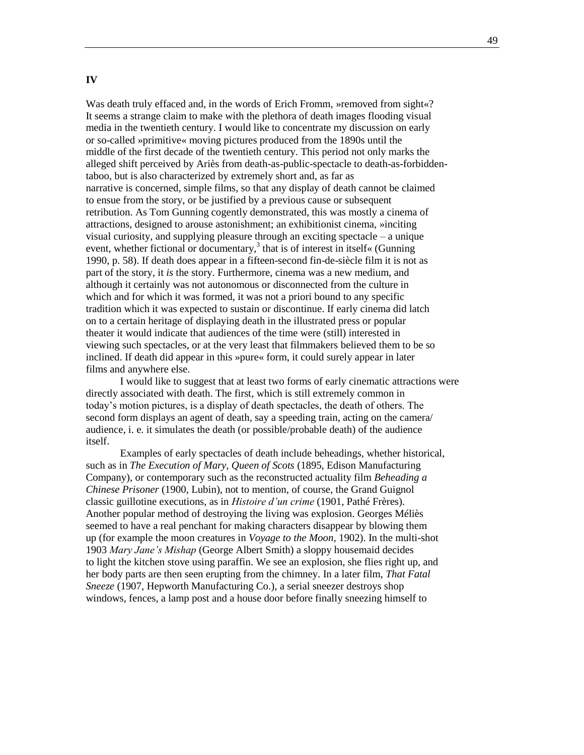## **IV**

Was death truly effaced and, in the words of Erich Fromm, »removed from sight«? It seems a strange claim to make with the plethora of death images flooding visual media in the twentieth century. I would like to concentrate my discussion on early or so-called »primitive« moving pictures produced from the 1890s until the middle of the first decade of the twentieth century. This period not only marks the alleged shift perceived by Ariès from death-as-public-spectacle to death-as-forbiddentaboo, but is also characterized by extremely short and, as far as narrative is concerned, simple films, so that any display of death cannot be claimed to ensue from the story, or be justified by a previous cause or subsequent retribution. As Tom Gunning cogently demonstrated, this was mostly a cinema of attractions, designed to arouse astonishment; an exhibitionist cinema, »inciting visual curiosity, and supplying pleasure through an exciting spectacle – a unique event, whether fictional or documentary,<sup>3</sup> that is of interest in itself« (Gunning 1990, p. 58). If death does appear in a fifteen-second fin-de-siècle film it is not as part of the story, it *is* the story. Furthermore, cinema was a new medium, and although it certainly was not autonomous or disconnected from the culture in which and for which it was formed, it was not a priori bound to any specific tradition which it was expected to sustain or discontinue. If early cinema did latch on to a certain heritage of displaying death in the illustrated press or popular theater it would indicate that audiences of the time were (still) interested in viewing such spectacles, or at the very least that filmmakers believed them to be so inclined. If death did appear in this »pure« form, it could surely appear in later films and anywhere else.

I would like to suggest that at least two forms of early cinematic attractions were directly associated with death. The first, which is still extremely common in today's motion pictures, is a display of death spectacles, the death of others. The second form displays an agent of death, say a speeding train, acting on the camera/ audience, i. e. it simulates the death (or possible/probable death) of the audience itself.

Examples of early spectacles of death include beheadings, whether historical, such as in *The Execution of Mary, Queen of Scots* (1895, Edison Manufacturing Company), or contemporary such as the reconstructed actuality film *Beheading a Chinese Prisoner* (1900, Lubin), not to mention, of course, the Grand Guignol classic guillotine executions, as in *Histoire d'un crime* (1901, Pathé Frères). Another popular method of destroying the living was explosion. Georges Méliès seemed to have a real penchant for making characters disappear by blowing them up (for example the moon creatures in *Voyage to the Moon*, 1902). In the multi-shot 1903 *Mary Jane's Mishap* (George Albert Smith) a sloppy housemaid decides to light the kitchen stove using paraffin. We see an explosion, she flies right up, and her body parts are then seen erupting from the chimney. In a later film, *That Fatal Sneeze* (1907, Hepworth Manufacturing Co.), a serial sneezer destroys shop windows, fences, a lamp post and a house door before finally sneezing himself to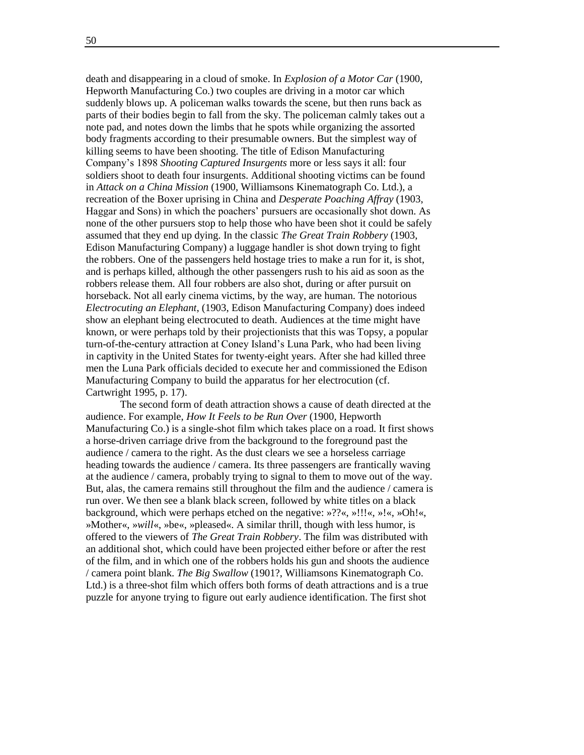death and disappearing in a cloud of smoke. In *Explosion of a Motor Car* (1900, Hepworth Manufacturing Co.) two couples are driving in a motor car which suddenly blows up. A policeman walks towards the scene, but then runs back as parts of their bodies begin to fall from the sky. The policeman calmly takes out a note pad, and notes down the limbs that he spots while organizing the assorted body fragments according to their presumable owners. But the simplest way of killing seems to have been shooting. The title of Edison Manufacturing Company's 1898 *Shooting Captured Insurgents* more or less says it all: four soldiers shoot to death four insurgents. Additional shooting victims can be found in *Attack on a China Mission* (1900, Williamsons Kinematograph Co. Ltd.), a recreation of the Boxer uprising in China and *Desperate Poaching Affray* (1903, Haggar and Sons) in which the poachers' pursuers are occasionally shot down. As none of the other pursuers stop to help those who have been shot it could be safely assumed that they end up dying. In the classic *The Great Train Robbery* (1903, Edison Manufacturing Company) a luggage handler is shot down trying to fight the robbers. One of the passengers held hostage tries to make a run for it, is shot, and is perhaps killed, although the other passengers rush to his aid as soon as the robbers release them. All four robbers are also shot, during or after pursuit on horseback. Not all early cinema victims, by the way, are human. The notorious *Electrocuting an Elephant*, (1903, Edison Manufacturing Company) does indeed show an elephant being electrocuted to death. Audiences at the time might have known, or were perhaps told by their projectionists that this was Topsy, a popular turn-of-the-century attraction at Coney Island's Luna Park, who had been living in captivity in the United States for twenty-eight years. After she had killed three men the Luna Park officials decided to execute her and commissioned the Edison Manufacturing Company to build the apparatus for her electrocution (cf. Cartwright 1995, p. 17).

The second form of death attraction shows a cause of death directed at the audience. For example, *How It Feels to be Run Over* (1900, Hepworth Manufacturing Co.) is a single-shot film which takes place on a road. It first shows a horse-driven carriage drive from the background to the foreground past the audience / camera to the right. As the dust clears we see a horseless carriage heading towards the audience / camera. Its three passengers are frantically waving at the audience / camera, probably trying to signal to them to move out of the way. But, alas, the camera remains still throughout the film and the audience / camera is run over. We then see a blank black screen, followed by white titles on a black background, which were perhaps etched on the negative: »??«, »!!!«, »!«, »Oh!«, »Mother«, »*will*«, »be«, »pleased«. A similar thrill, though with less humor, is offered to the viewers of *The Great Train Robbery*. The film was distributed with an additional shot, which could have been projected either before or after the rest of the film, and in which one of the robbers holds his gun and shoots the audience / camera point blank. *The Big Swallow* (1901?, Williamsons Kinematograph Co. Ltd.) is a three-shot film which offers both forms of death attractions and is a true puzzle for anyone trying to figure out early audience identification. The first shot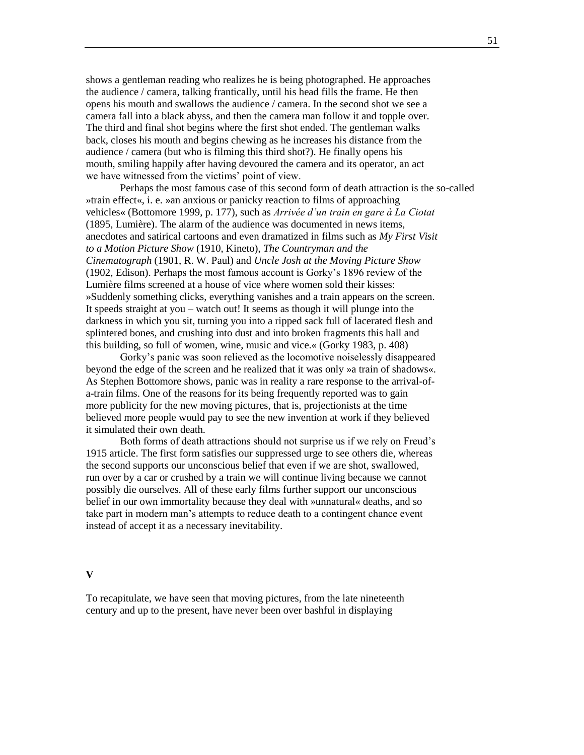shows a gentleman reading who realizes he is being photographed. He approaches the audience / camera, talking frantically, until his head fills the frame. He then opens his mouth and swallows the audience / camera. In the second shot we see a camera fall into a black abyss, and then the camera man follow it and topple over. The third and final shot begins where the first shot ended. The gentleman walks back, closes his mouth and begins chewing as he increases his distance from the audience / camera (but who is filming this third shot?). He finally opens his mouth, smiling happily after having devoured the camera and its operator, an act we have witnessed from the victims' point of view.

Perhaps the most famous case of this second form of death attraction is the so-called »train effect«, i. e. »an anxious or panicky reaction to films of approaching vehicles« (Bottomore 1999, p. 177), such as *Arrivée d'un train en gare à La Ciotat* (1895, Lumière). The alarm of the audience was documented in news items, anecdotes and satirical cartoons and even dramatized in films such as *My First Visit to a Motion Picture Show* (1910, Kineto), *The Countryman and the Cinematograph* (1901, R. W. Paul) and *Uncle Josh at the Moving Picture Show* (1902, Edison). Perhaps the most famous account is Gorky's 1896 review of the Lumière films screened at a house of vice where women sold their kisses: »Suddenly something clicks, everything vanishes and a train appears on the screen. It speeds straight at you – watch out! It seems as though it will plunge into the darkness in which you sit, turning you into a ripped sack full of lacerated flesh and splintered bones, and crushing into dust and into broken fragments this hall and this building, so full of women, wine, music and vice.« (Gorky 1983, p. 408)

Gorky's panic was soon relieved as the locomotive noiselessly disappeared beyond the edge of the screen and he realized that it was only »a train of shadows«. As Stephen Bottomore shows, panic was in reality a rare response to the arrival-ofa-train films. One of the reasons for its being frequently reported was to gain more publicity for the new moving pictures, that is, projectionists at the time believed more people would pay to see the new invention at work if they believed it simulated their own death.

Both forms of death attractions should not surprise us if we rely on Freud's 1915 article. The first form satisfies our suppressed urge to see others die, whereas the second supports our unconscious belief that even if we are shot, swallowed, run over by a car or crushed by a train we will continue living because we cannot possibly die ourselves. All of these early films further support our unconscious belief in our own immortality because they deal with »unnatural« deaths, and so take part in modern man's attempts to reduce death to a contingent chance event instead of accept it as a necessary inevitability.

#### **V**

To recapitulate, we have seen that moving pictures, from the late nineteenth century and up to the present, have never been over bashful in displaying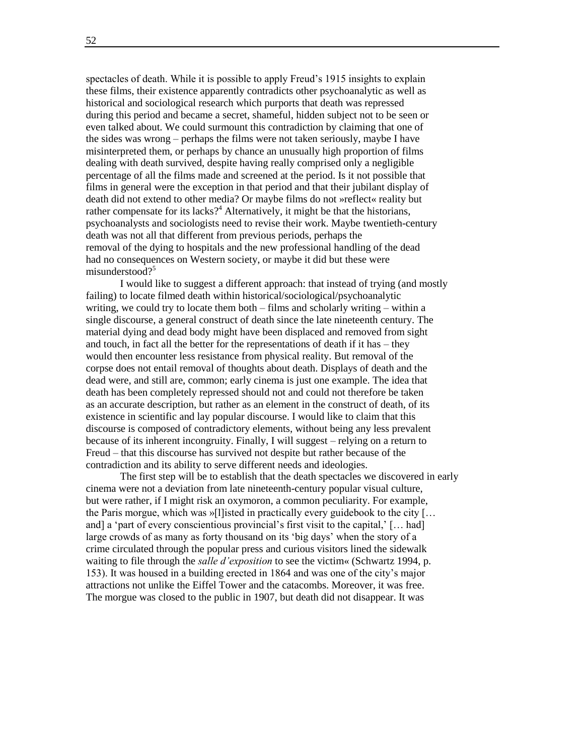spectacles of death. While it is possible to apply Freud's 1915 insights to explain these films, their existence apparently contradicts other psychoanalytic as well as historical and sociological research which purports that death was repressed during this period and became a secret, shameful, hidden subject not to be seen or even talked about. We could surmount this contradiction by claiming that one of the sides was wrong – perhaps the films were not taken seriously, maybe I have misinterpreted them, or perhaps by chance an unusually high proportion of films dealing with death survived, despite having really comprised only a negligible percentage of all the films made and screened at the period. Is it not possible that films in general were the exception in that period and that their jubilant display of death did not extend to other media? Or maybe films do not »reflect« reality but rather compensate for its lacks?<sup>4</sup> Alternatively, it might be that the historians, psychoanalysts and sociologists need to revise their work. Maybe twentieth-century death was not all that different from previous periods, perhaps the removal of the dying to hospitals and the new professional handling of the dead had no consequences on Western society, or maybe it did but these were misunderstood?<sup>5</sup>

I would like to suggest a different approach: that instead of trying (and mostly failing) to locate filmed death within historical/sociological/psychoanalytic writing, we could try to locate them both – films and scholarly writing – within a single discourse, a general construct of death since the late nineteenth century. The material dying and dead body might have been displaced and removed from sight and touch, in fact all the better for the representations of death if it has – they would then encounter less resistance from physical reality. But removal of the corpse does not entail removal of thoughts about death. Displays of death and the dead were, and still are, common; early cinema is just one example. The idea that death has been completely repressed should not and could not therefore be taken as an accurate description, but rather as an element in the construct of death, of its existence in scientific and lay popular discourse. I would like to claim that this discourse is composed of contradictory elements, without being any less prevalent because of its inherent incongruity. Finally, I will suggest – relying on a return to Freud – that this discourse has survived not despite but rather because of the contradiction and its ability to serve different needs and ideologies.

The first step will be to establish that the death spectacles we discovered in early cinema were not a deviation from late nineteenth-century popular visual culture, but were rather, if I might risk an oxymoron, a common peculiarity. For example, the Paris morgue, which was »[l]isted in practically every guidebook to the city [… and] a 'part of every conscientious provincial's first visit to the capital,' [... had] large crowds of as many as forty thousand on its 'big days' when the story of a crime circulated through the popular press and curious visitors lined the sidewalk waiting to file through the *salle d'exposition* to see the victim« (Schwartz 1994, p. 153). It was housed in a building erected in 1864 and was one of the city's major attractions not unlike the Eiffel Tower and the catacombs. Moreover, it was free. The morgue was closed to the public in 1907, but death did not disappear. It was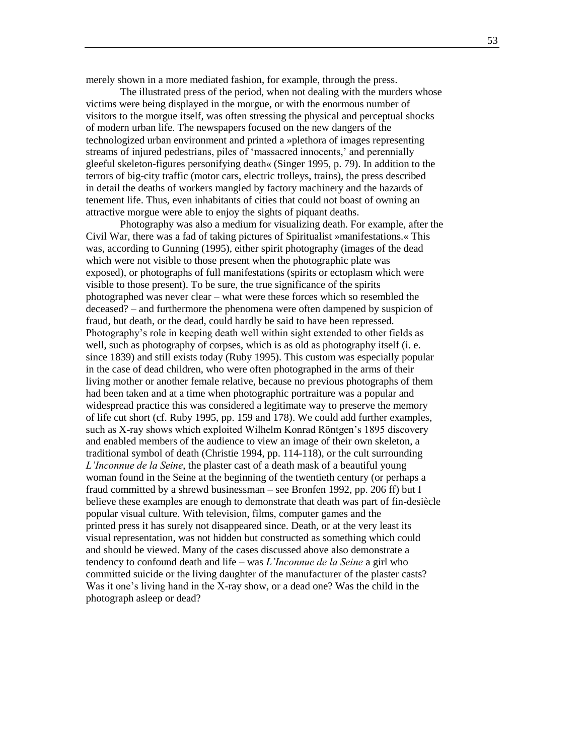merely shown in a more mediated fashion, for example, through the press.

The illustrated press of the period, when not dealing with the murders whose victims were being displayed in the morgue, or with the enormous number of visitors to the morgue itself, was often stressing the physical and perceptual shocks of modern urban life. The newspapers focused on the new dangers of the technologized urban environment and printed a »plethora of images representing streams of injured pedestrians, piles of 'massacred innocents,' and perennially gleeful skeleton-figures personifying death« (Singer 1995, p. 79). In addition to the terrors of big-city traffic (motor cars, electric trolleys, trains), the press described in detail the deaths of workers mangled by factory machinery and the hazards of tenement life. Thus, even inhabitants of cities that could not boast of owning an attractive morgue were able to enjoy the sights of piquant deaths.

Photography was also a medium for visualizing death. For example, after the Civil War, there was a fad of taking pictures of Spiritualist »manifestations.« This was, according to Gunning (1995), either spirit photography (images of the dead which were not visible to those present when the photographic plate was exposed), or photographs of full manifestations (spirits or ectoplasm which were visible to those present). To be sure, the true significance of the spirits photographed was never clear – what were these forces which so resembled the deceased? – and furthermore the phenomena were often dampened by suspicion of fraud, but death, or the dead, could hardly be said to have been repressed. Photography's role in keeping death well within sight extended to other fields as well, such as photography of corpses, which is as old as photography itself (i. e. since 1839) and still exists today (Ruby 1995). This custom was especially popular in the case of dead children, who were often photographed in the arms of their living mother or another female relative, because no previous photographs of them had been taken and at a time when photographic portraiture was a popular and widespread practice this was considered a legitimate way to preserve the memory of life cut short (cf. Ruby 1995, pp. 159 and 178). We could add further examples, such as X-ray shows which exploited Wilhelm Konrad Röntgen's 1895 discovery and enabled members of the audience to view an image of their own skeleton, a traditional symbol of death (Christie 1994, pp. 114-118), or the cult surrounding *L'Inconnue de la Seine*, the plaster cast of a death mask of a beautiful young woman found in the Seine at the beginning of the twentieth century (or perhaps a fraud committed by a shrewd businessman – see Bronfen 1992, pp. 206 ff) but I believe these examples are enough to demonstrate that death was part of fin-desiècle popular visual culture. With television, films, computer games and the printed press it has surely not disappeared since. Death, or at the very least its visual representation, was not hidden but constructed as something which could and should be viewed. Many of the cases discussed above also demonstrate a tendency to confound death and life – was *L'Inconnue de la Seine* a girl who committed suicide or the living daughter of the manufacturer of the plaster casts? Was it one's living hand in the X-ray show, or a dead one? Was the child in the photograph asleep or dead?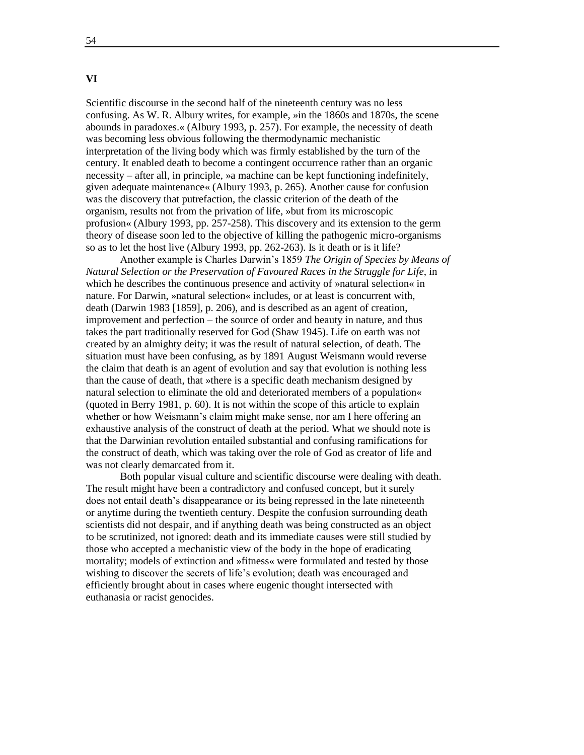## **VI**

Scientific discourse in the second half of the nineteenth century was no less confusing. As W. R. Albury writes, for example, »in the 1860s and 1870s, the scene abounds in paradoxes.« (Albury 1993, p. 257). For example, the necessity of death was becoming less obvious following the thermodynamic mechanistic interpretation of the living body which was firmly established by the turn of the century. It enabled death to become a contingent occurrence rather than an organic necessity – after all, in principle, »a machine can be kept functioning indefinitely, given adequate maintenance« (Albury 1993, p. 265). Another cause for confusion was the discovery that putrefaction, the classic criterion of the death of the organism, results not from the privation of life, »but from its microscopic profusion« (Albury 1993, pp. 257-258). This discovery and its extension to the germ theory of disease soon led to the objective of killing the pathogenic micro-organisms so as to let the host live (Albury 1993, pp. 262-263). Is it death or is it life?

Another example is Charles Darwin's 1859 *The Origin of Species by Means of Natural Selection or the Preservation of Favoured Races in the Struggle for Life*, in which he describes the continuous presence and activity of »natural selection« in nature. For Darwin, »natural selection« includes, or at least is concurrent with, death (Darwin 1983 [1859], p. 206), and is described as an agent of creation, improvement and perfection – the source of order and beauty in nature, and thus takes the part traditionally reserved for God (Shaw 1945). Life on earth was not created by an almighty deity; it was the result of natural selection, of death. The situation must have been confusing, as by 1891 August Weismann would reverse the claim that death is an agent of evolution and say that evolution is nothing less than the cause of death, that »there is a specific death mechanism designed by natural selection to eliminate the old and deteriorated members of a population« (quoted in Berry 1981, p. 60). It is not within the scope of this article to explain whether or how Weismann's claim might make sense, nor am I here offering an exhaustive analysis of the construct of death at the period. What we should note is that the Darwinian revolution entailed substantial and confusing ramifications for the construct of death, which was taking over the role of God as creator of life and was not clearly demarcated from it.

Both popular visual culture and scientific discourse were dealing with death. The result might have been a contradictory and confused concept, but it surely does not entail death's disappearance or its being repressed in the late nineteenth or anytime during the twentieth century. Despite the confusion surrounding death scientists did not despair, and if anything death was being constructed as an object to be scrutinized, not ignored: death and its immediate causes were still studied by those who accepted a mechanistic view of the body in the hope of eradicating mortality; models of extinction and »fitness« were formulated and tested by those wishing to discover the secrets of life's evolution; death was encouraged and efficiently brought about in cases where eugenic thought intersected with euthanasia or racist genocides.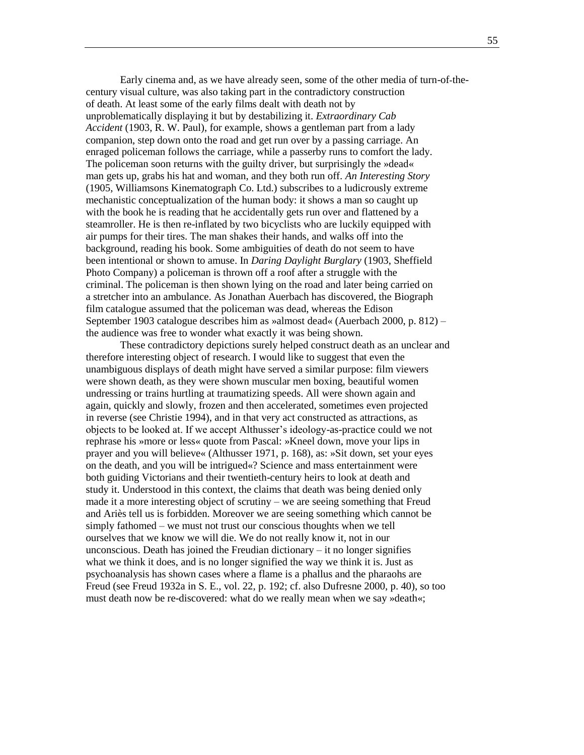Early cinema and, as we have already seen, some of the other media of turn-of-thecentury visual culture, was also taking part in the contradictory construction of death. At least some of the early films dealt with death not by unproblematically displaying it but by destabilizing it. *Extraordinary Cab Accident* (1903, R. W. Paul), for example, shows a gentleman part from a lady companion, step down onto the road and get run over by a passing carriage. An enraged policeman follows the carriage, while a passerby runs to comfort the lady. The policeman soon returns with the guilty driver, but surprisingly the »dead« man gets up, grabs his hat and woman, and they both run off. *An Interesting Story* (1905, Williamsons Kinematograph Co. Ltd.) subscribes to a ludicrously extreme mechanistic conceptualization of the human body: it shows a man so caught up with the book he is reading that he accidentally gets run over and flattened by a steamroller. He is then re-inflated by two bicyclists who are luckily equipped with air pumps for their tires. The man shakes their hands, and walks off into the background, reading his book. Some ambiguities of death do not seem to have been intentional or shown to amuse. In *Daring Daylight Burglary* (1903, Sheffield Photo Company) a policeman is thrown off a roof after a struggle with the criminal. The policeman is then shown lying on the road and later being carried on a stretcher into an ambulance. As Jonathan Auerbach has discovered, the Biograph film catalogue assumed that the policeman was dead, whereas the Edison September 1903 catalogue describes him as »almost dead« (Auerbach 2000, p. 812) – the audience was free to wonder what exactly it was being shown.

These contradictory depictions surely helped construct death as an unclear and therefore interesting object of research. I would like to suggest that even the unambiguous displays of death might have served a similar purpose: film viewers were shown death, as they were shown muscular men boxing, beautiful women undressing or trains hurtling at traumatizing speeds. All were shown again and again, quickly and slowly, frozen and then accelerated, sometimes even projected in reverse (see Christie 1994), and in that very act constructed as attractions, as objects to be looked at. If we accept Althusser's ideology-as-practice could we not rephrase his »more or less« quote from Pascal: »Kneel down, move your lips in prayer and you will believe« (Althusser 1971, p. 168), as: »Sit down, set your eyes on the death, and you will be intrigued«? Science and mass entertainment were both guiding Victorians and their twentieth-century heirs to look at death and study it. Understood in this context, the claims that death was being denied only made it a more interesting object of scrutiny – we are seeing something that Freud and Ariès tell us is forbidden. Moreover we are seeing something which cannot be simply fathomed – we must not trust our conscious thoughts when we tell ourselves that we know we will die. We do not really know it, not in our unconscious. Death has joined the Freudian dictionary – it no longer signifies what we think it does, and is no longer signified the way we think it is. Just as psychoanalysis has shown cases where a flame is a phallus and the pharaohs are Freud (see Freud 1932a in S. E., vol. 22, p. 192; cf. also Dufresne 2000, p. 40), so too must death now be re-discovered: what do we really mean when we say »death«;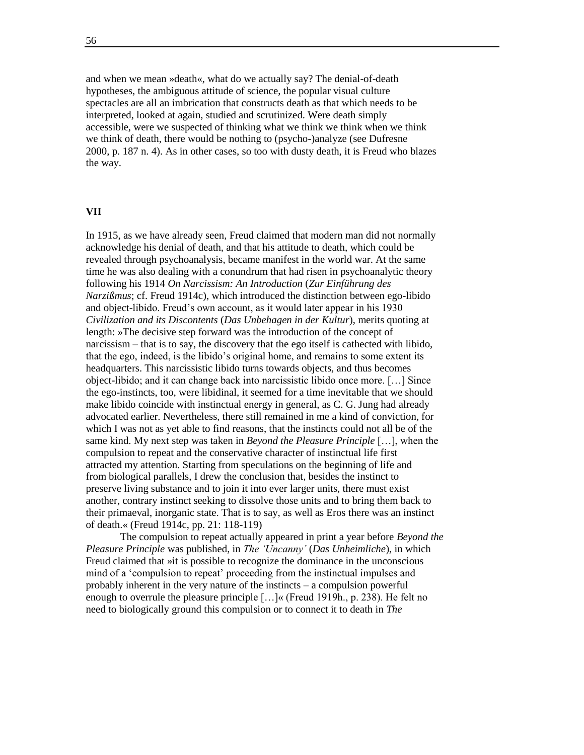and when we mean »death«, what do we actually say? The denial-of-death hypotheses, the ambiguous attitude of science, the popular visual culture spectacles are all an imbrication that constructs death as that which needs to be interpreted, looked at again, studied and scrutinized. Were death simply accessible, were we suspected of thinking what we think we think when we think we think of death, there would be nothing to (psycho-)analyze (see Dufresne 2000, p. 187 n. 4). As in other cases, so too with dusty death, it is Freud who blazes the way.

#### **VII**

In 1915, as we have already seen, Freud claimed that modern man did not normally acknowledge his denial of death, and that his attitude to death, which could be revealed through psychoanalysis, became manifest in the world war. At the same time he was also dealing with a conundrum that had risen in psychoanalytic theory following his 1914 *On Narcissism: An Introduction* (*Zur Einführung des Narzißmus*; cf. Freud 1914c), which introduced the distinction between ego-libido and object-libido. Freud's own account, as it would later appear in his 1930 *Civilization and its Discontents* (*Das Unbehagen in der Kultur*), merits quoting at length: »The decisive step forward was the introduction of the concept of narcissism – that is to say, the discovery that the ego itself is cathected with libido, that the ego, indeed, is the libido's original home, and remains to some extent its headquarters. This narcissistic libido turns towards objects, and thus becomes object-libido; and it can change back into narcissistic libido once more. […] Since the ego-instincts, too, were libidinal, it seemed for a time inevitable that we should make libido coincide with instinctual energy in general, as C. G. Jung had already advocated earlier. Nevertheless, there still remained in me a kind of conviction, for which I was not as yet able to find reasons, that the instincts could not all be of the same kind. My next step was taken in *Beyond the Pleasure Principle* […], when the compulsion to repeat and the conservative character of instinctual life first attracted my attention. Starting from speculations on the beginning of life and from biological parallels, I drew the conclusion that, besides the instinct to preserve living substance and to join it into ever larger units, there must exist another, contrary instinct seeking to dissolve those units and to bring them back to their primaeval, inorganic state. That is to say, as well as Eros there was an instinct of death.« (Freud 1914c, pp. 21: 118-119)

The compulsion to repeat actually appeared in print a year before *Beyond the Pleasure Principle* was published, in *The 'Uncanny'* (*Das Unheimliche*), in which Freud claimed that »it is possible to recognize the dominance in the unconscious mind of a 'compulsion to repeat' proceeding from the instinctual impulses and probably inherent in the very nature of the instincts – a compulsion powerful enough to overrule the pleasure principle […]« (Freud 1919h., p. 238). He felt no need to biologically ground this compulsion or to connect it to death in *The*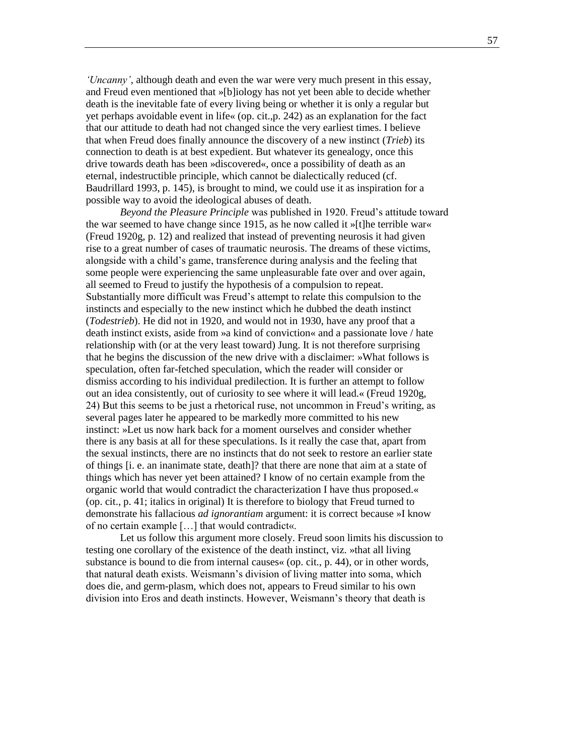*'Uncanny'*, although death and even the war were very much present in this essay, and Freud even mentioned that »[b]iology has not yet been able to decide whether death is the inevitable fate of every living being or whether it is only a regular but yet perhaps avoidable event in life« (op. cit.,p. 242) as an explanation for the fact that our attitude to death had not changed since the very earliest times. I believe that when Freud does finally announce the discovery of a new instinct (*Trieb*) its connection to death is at best expedient. But whatever its genealogy, once this drive towards death has been »discovered«, once a possibility of death as an eternal, indestructible principle, which cannot be dialectically reduced (cf. Baudrillard 1993, p. 145), is brought to mind, we could use it as inspiration for a possible way to avoid the ideological abuses of death.

*Beyond the Pleasure Principle* was published in 1920. Freud's attitude toward the war seemed to have change since 1915, as he now called it »[t]he terrible war« (Freud 1920g, p. 12) and realized that instead of preventing neurosis it had given rise to a great number of cases of traumatic neurosis. The dreams of these victims, alongside with a child's game, transference during analysis and the feeling that some people were experiencing the same unpleasurable fate over and over again, all seemed to Freud to justify the hypothesis of a compulsion to repeat. Substantially more difficult was Freud's attempt to relate this compulsion to the instincts and especially to the new instinct which he dubbed the death instinct (*Todestrieb*). He did not in 1920, and would not in 1930, have any proof that a death instinct exists, aside from »a kind of conviction« and a passionate love / hate relationship with (or at the very least toward) Jung. It is not therefore surprising that he begins the discussion of the new drive with a disclaimer: »What follows is speculation, often far-fetched speculation, which the reader will consider or dismiss according to his individual predilection. It is further an attempt to follow out an idea consistently, out of curiosity to see where it will lead.« (Freud 1920g, 24) But this seems to be just a rhetorical ruse, not uncommon in Freud's writing, as several pages later he appeared to be markedly more committed to his new instinct: »Let us now hark back for a moment ourselves and consider whether there is any basis at all for these speculations. Is it really the case that, apart from the sexual instincts, there are no instincts that do not seek to restore an earlier state of things [i. e. an inanimate state, death]? that there are none that aim at a state of things which has never yet been attained? I know of no certain example from the organic world that would contradict the characterization I have thus proposed.« (op. cit., p. 41; italics in original) It is therefore to biology that Freud turned to demonstrate his fallacious *ad ignorantiam* argument: it is correct because »I know of no certain example […] that would contradict«.

Let us follow this argument more closely. Freud soon limits his discussion to testing one corollary of the existence of the death instinct, viz. »that all living substance is bound to die from internal causes« (op. cit., p. 44), or in other words, that natural death exists. Weismann's division of living matter into soma, which does die, and germ-plasm, which does not, appears to Freud similar to his own division into Eros and death instincts. However, Weismann's theory that death is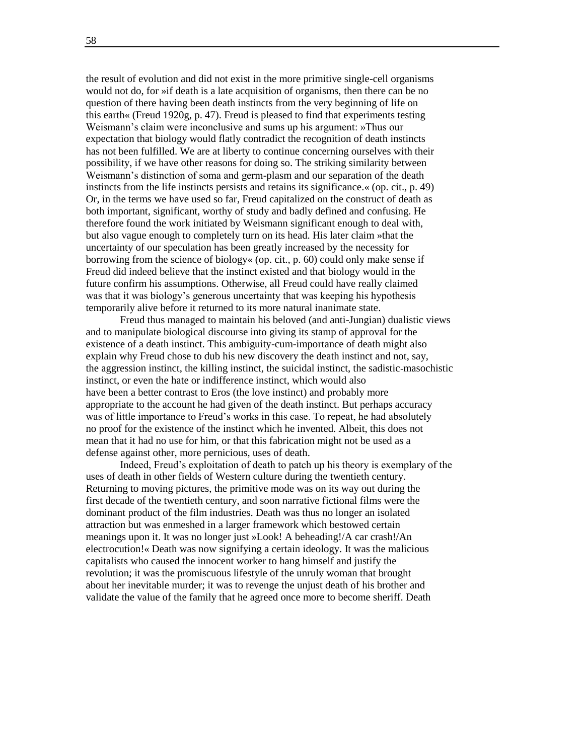the result of evolution and did not exist in the more primitive single-cell organisms would not do, for »if death is a late acquisition of organisms, then there can be no question of there having been death instincts from the very beginning of life on this earth« (Freud 1920g, p. 47). Freud is pleased to find that experiments testing Weismann's claim were inconclusive and sums up his argument: »Thus our expectation that biology would flatly contradict the recognition of death instincts has not been fulfilled. We are at liberty to continue concerning ourselves with their possibility, if we have other reasons for doing so. The striking similarity between Weismann's distinction of soma and germ-plasm and our separation of the death instincts from the life instincts persists and retains its significance.« (op. cit., p. 49) Or, in the terms we have used so far, Freud capitalized on the construct of death as both important, significant, worthy of study and badly defined and confusing. He therefore found the work initiated by Weismann significant enough to deal with, but also vague enough to completely turn on its head. His later claim »that the uncertainty of our speculation has been greatly increased by the necessity for borrowing from the science of biology  $\epsilon$  (op. cit., p. 60) could only make sense if Freud did indeed believe that the instinct existed and that biology would in the future confirm his assumptions. Otherwise, all Freud could have really claimed was that it was biology's generous uncertainty that was keeping his hypothesis temporarily alive before it returned to its more natural inanimate state.

Freud thus managed to maintain his beloved (and anti-Jungian) dualistic views and to manipulate biological discourse into giving its stamp of approval for the existence of a death instinct. This ambiguity-cum-importance of death might also explain why Freud chose to dub his new discovery the death instinct and not, say, the aggression instinct, the killing instinct, the suicidal instinct, the sadistic-masochistic instinct, or even the hate or indifference instinct, which would also have been a better contrast to Eros (the love instinct) and probably more appropriate to the account he had given of the death instinct. But perhaps accuracy was of little importance to Freud's works in this case. To repeat, he had absolutely no proof for the existence of the instinct which he invented. Albeit, this does not mean that it had no use for him, or that this fabrication might not be used as a defense against other, more pernicious, uses of death.

Indeed, Freud's exploitation of death to patch up his theory is exemplary of the uses of death in other fields of Western culture during the twentieth century. Returning to moving pictures, the primitive mode was on its way out during the first decade of the twentieth century, and soon narrative fictional films were the dominant product of the film industries. Death was thus no longer an isolated attraction but was enmeshed in a larger framework which bestowed certain meanings upon it. It was no longer just »Look! A beheading!/A car crash!/An electrocution!« Death was now signifying a certain ideology. It was the malicious capitalists who caused the innocent worker to hang himself and justify the revolution; it was the promiscuous lifestyle of the unruly woman that brought about her inevitable murder; it was to revenge the unjust death of his brother and validate the value of the family that he agreed once more to become sheriff. Death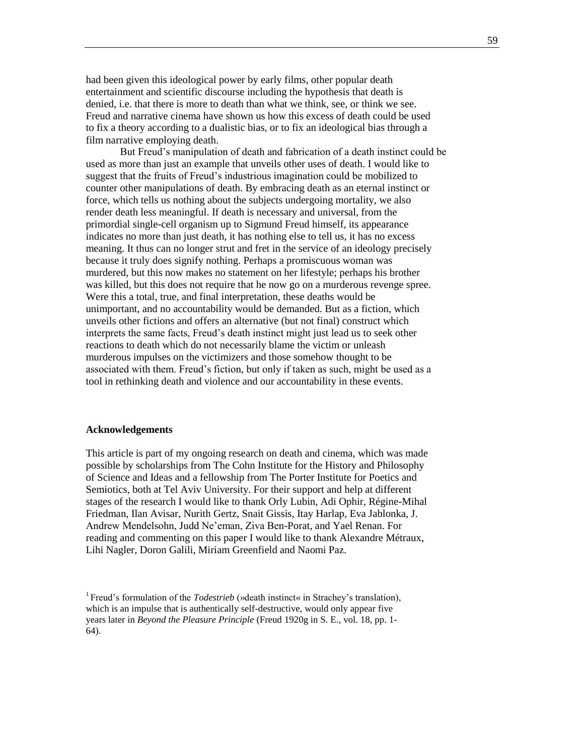had been given this ideological power by early films, other popular death entertainment and scientific discourse including the hypothesis that death is denied, i.e. that there is more to death than what we think, see, or think we see. Freud and narrative cinema have shown us how this excess of death could be used to fix a theory according to a dualistic bias, or to fix an ideological bias through a film narrative employing death.

But Freud's manipulation of death and fabrication of a death instinct could be used as more than just an example that unveils other uses of death. I would like to suggest that the fruits of Freud's industrious imagination could be mobilized to counter other manipulations of death. By embracing death as an eternal instinct or force, which tells us nothing about the subjects undergoing mortality, we also render death less meaningful. If death is necessary and universal, from the primordial single-cell organism up to Sigmund Freud himself, its appearance indicates no more than just death, it has nothing else to tell us, it has no excess meaning. It thus can no longer strut and fret in the service of an ideology precisely because it truly does signify nothing. Perhaps a promiscuous woman was murdered, but this now makes no statement on her lifestyle; perhaps his brother was killed, but this does not require that he now go on a murderous revenge spree. Were this a total, true, and final interpretation, these deaths would be unimportant, and no accountability would be demanded. But as a fiction, which unveils other fictions and offers an alternative (but not final) construct which interprets the same facts, Freud's death instinct might just lead us to seek other reactions to death which do not necessarily blame the victim or unleash murderous impulses on the victimizers and those somehow thought to be associated with them. Freud's fiction, but only if taken as such, might be used as a tool in rethinking death and violence and our accountability in these events.

#### **Acknowledgements**

This article is part of my ongoing research on death and cinema, which was made possible by scholarships from The Cohn Institute for the History and Philosophy of Science and Ideas and a fellowship from The Porter Institute for Poetics and Semiotics, both at Tel Aviv University. For their support and help at different stages of the research I would like to thank Orly Lubin, Adi Ophir, Régine-Mihal Friedman, Ilan Avisar, Nurith Gertz, Snait Gissis, Itay Harlap, Eva Jablonka, J. Andrew Mendelsohn, Judd Ne'eman, Ziva Ben-Porat, and Yael Renan. For reading and commenting on this paper I would like to thank Alexandre Métraux, Lihi Nagler, Doron Galili, Miriam Greenfield and Naomi Paz.

<sup>&</sup>lt;sup>1</sup> Freud's formulation of the *Todestrieb* (»death instinct« in Strachey's translation), which is an impulse that is authentically self-destructive, would only appear five years later in *Beyond the Pleasure Principle* (Freud 1920g in S. E., vol. 18, pp. 1- 64).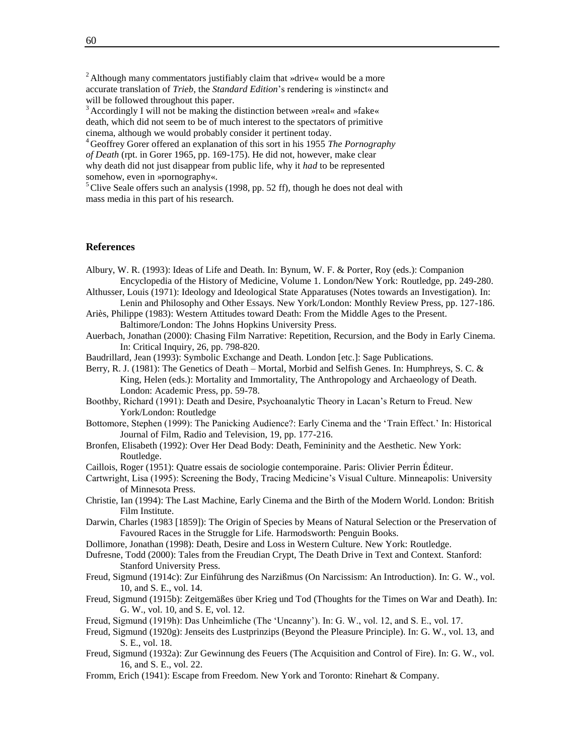<sup>2</sup> Although many commentators justifiably claim that »drive« would be a more accurate translation of *Trieb*, the *Standard Edition*'s rendering is »instinct« and will be followed throughout this paper.

 $3$  Accordingly I will not be making the distinction between »real« and »fake« death, which did not seem to be of much interest to the spectators of primitive cinema, although we would probably consider it pertinent today.

<sup>4</sup> Geoffrey Gorer offered an explanation of this sort in his 1955 *The Pornography of Death* (rpt. in Gorer 1965, pp. 169-175). He did not, however, make clear why death did not just disappear from public life, why it *had* to be represented somehow, even in »pornography«.

 $<sup>5</sup>$ Clive Seale offers such an analysis (1998, pp. 52 ff), though he does not deal with</sup> mass media in this part of his research.

#### **References**

- Albury, W. R. (1993): Ideas of Life and Death. In: Bynum, W. F. & Porter, Roy (eds.): Companion Encyclopedia of the History of Medicine, Volume 1. London/New York: Routledge, pp. 249-280.
- Althusser, Louis (1971): Ideology and Ideological State Apparatuses (Notes towards an Investigation). In: Lenin and Philosophy and Other Essays. New York/London: Monthly Review Press, pp. 127-186.
- Ariès, Philippe (1983): Western Attitudes toward Death: From the Middle Ages to the Present. Baltimore/London: The Johns Hopkins University Press.
- Auerbach, Jonathan (2000): Chasing Film Narrative: Repetition, Recursion, and the Body in Early Cinema. In: Critical Inquiry, 26, pp. 798-820.
- Baudrillard, Jean (1993): Symbolic Exchange and Death. London [etc.]: Sage Publications.
- Berry, R. J. (1981): The Genetics of Death Mortal, Morbid and Selfish Genes. In: Humphreys, S. C. & King, Helen (eds.): Mortality and Immortality, The Anthropology and Archaeology of Death. London: Academic Press, pp. 59-78.
- Boothby, Richard (1991): Death and Desire, Psychoanalytic Theory in Lacan's Return to Freud. New York/London: Routledge
- Bottomore, Stephen (1999): The Panicking Audience?: Early Cinema and the 'Train Effect.' In: Historical Journal of Film, Radio and Television, 19, pp. 177-216.
- Bronfen, Elisabeth (1992): Over Her Dead Body: Death, Femininity and the Aesthetic. New York: Routledge.
- Caillois, Roger (1951): Quatre essais de sociologie contemporaine. Paris: Olivier Perrin Éditeur.
- Cartwright, Lisa (1995): Screening the Body, Tracing Medicine's Visual Culture. Minneapolis: University of Minnesota Press.
- Christie, Ian (1994): The Last Machine, Early Cinema and the Birth of the Modern World. London: British Film Institute.
- Darwin, Charles (1983 [1859]): The Origin of Species by Means of Natural Selection or the Preservation of Favoured Races in the Struggle for Life. Harmodsworth: Penguin Books.
- Dollimore, Jonathan (1998): Death, Desire and Loss in Western Culture. New York: Routledge.
- Dufresne, Todd (2000): Tales from the Freudian Crypt, The Death Drive in Text and Context. Stanford: Stanford University Press.
- Freud, Sigmund (1914c): Zur Einführung des Narzißmus (On Narcissism: An Introduction). In: G. W., vol. 10, and S. E., vol. 14.
- Freud, Sigmund (1915b): Zeitgemäßes über Krieg und Tod (Thoughts for the Times on War and Death). In: G. W., vol. 10, and S. E, vol. 12.
- Freud, Sigmund (1919h): Das Unheimliche (The 'Uncanny'). In: G. W., vol. 12, and S. E., vol. 17.
- Freud, Sigmund (1920g): Jenseits des Lustprinzips (Beyond the Pleasure Principle). In: G. W., vol. 13, and S. E., vol. 18.
- Freud, Sigmund (1932a): Zur Gewinnung des Feuers (The Acquisition and Control of Fire). In: G. W., vol. 16, and S. E., vol. 22.
- Fromm, Erich (1941): Escape from Freedom. New York and Toronto: Rinehart & Company.